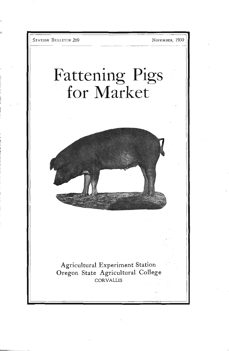STATION BULLETIN 269 NOVEMBER, 1930

# Fattening Pigs for Market



Agricultural Experiment Station Oregon State Agricultural College CORVALLIS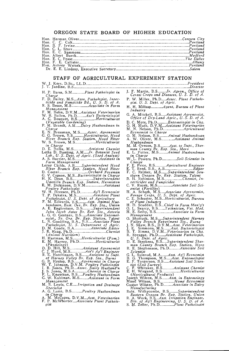#### OREGON STATE BOARD OF HIGHER EDUCATION

# STAFF OF AGRICULTURAL EXPERIMENT STATION ..............................President

H. P. Barss, S.M..............Plant Pathologist in J. F. N.<br>Charge Ceree<br>F. D. Bailey, M.S...Asso, Pathologist, Insec-P. W.

ticide and Fungicide Bd., U. S. D. of A. R. S. ilesse, M.S Associate in Farm

Management F. M. Bolin, D.V.M...Assistant Veterinarian W. It. Bollen, Ph.D Ass't Bacteriologist A. G. Bouquet, Il.S Horticulturist

(Vegetable Gardening) P. M. Brandt, Am Dairy Husband, A. Bressman, M.S Assoc. Agronomist G. G. Brown, R. Horticulturist, Hood River Branch Exp. Station, Hood River Branch Exp. Station, Hood River Branch Exp. Station, Hood

sn Charge B. K. flullis, M.S Assistant Chemist Letlia D. Bunting, A.M Jr. Botanist Seed

Lab., U. S. Dept. of Agric. (Seed Analyst) S. hurrier, M.S Assistant in

Farm Management<br>Leroy Childs, A.B ........Superintendent Hood River Branch Exp. Superintendent Hood River E. T. R.<br>D. Cooter Branch Exp. Station, Hood River E. T. R.

G. V. Copson, M.S...Bacteriologist in Charge H. K. Bean. B.S Superintendent Usnatil/a Branch Exp. Station, Hermiston E. M. Dickinson, D.V.M Assistant

Poultry Pathologist W. H. Dreesen, Ph.D Ag'l Economist T. P. Dykstra, M.S Assistant Plant

Pathologist, U. S. Dept. of Agriculture C.

band in-an, East. Ore. Br. Exp. Sta., Union A. E. Engbretson, D.S Superintendent John Jacob Astor Br. Exp, Sta., Astoria L. G. 0. Gentner, B.S Associate Entomol- ogist,, So. Ore. Br. Exp. Station, Talent L. N. Goodding, BA., u.S Associate Plant

Pathologist, U. S. Department of Agric. D. M. Goode, B.A Associate Editor

J. B. Haag, Ph.D Chemist (Animal Nutrition) H. Hartman, M.S Horticulturist (Pont.) E. H. Harvey, Ph.D Horticulturist (Physiology) D. B. Hill, M.S Assistant Agronomist C. J Hurd, M.S Ass't Ag'l Engineer B. E. Hutchinson, B.S Assistant to Supt. of Harney Valley Br. Exp. Sta., Burns G. Il. l-lyslop, B.S Agronomist in Charge \V. T. Johnson, D.V.M. Poultry Pathologist I. B. Jones, Ph.D...Assoc. Dairy Husband'n

J. S. Jones, M.S.A Chemist in Charge F. H. Wiegan<br>F. L. Knowlton, B.S.....Poultry Husbandman<br>G. W. Kuhlman, M.S ........ Assistant in Farm Joseph Wilcox

Management Maud Wilson, B. M. R. Lewis, C.E.....*Irrigation and Drainage* Sustav Wilster, P. S. Lunn, B.S Poultry Husbandman in Charge A. M. McCapes, D.V.M...*Asst, Veterinarian* F. A. Work, B. S. R. P. McWhorter....*Assoc* 

.....................................Director J. F. Martin, B.S .Jr. Agron., Office of Cereal Crops and Diseases, U. S. D. of A.

P. W. Miller, Ph.D....Assoc. Plant Pathologist. U. S. Dept. of Agric.

H. H. Millsap ............. Agent, Bureau of Plant

A. Mitchell, B.S. Assistant Agronomist, Office of Dry-Land Agric., U. S. D. of A.

B. C. Mote, Ph.D Entomologist in Chg. 0. H. Muth, D.V.M...Assistant Veterinarian M. N. Nelson, Ph.D Agricultural Economist in Charge 0. H. Nelson, B.S Animal Husbandman

O. M. Nelson, B.S., Animal Husbandman<br>A. W. Oliver, M.S., Assistant Animal

Husbandman H. H. Oveson, B.S Asst. to Supt., Sher- man County Br. Exp Sta., Moro K. L. Potter, M,S Animal Husbandmasi

in Charge W. L. Powers. Ph.D Soil Scientist in

Charge F, K. Price, B.S Agricultural Engineer T. Reed, B.S., A.B Editor C. Reimer, M.S Superintendent Sou-them Oregon Br. Exp. Station, Talent H. Rohinson, M.S Chemist, In- sect icicles and Fungicides V. Busch, M.S .Associate Soil Sci-entist (Fertility) I-I. A. Schoth, M.S Associate Agronomist, Forage Crops, U. S. Dept. of Agric. C. K. Schuster, M.S Horticulturist, Bureau

C. E. Schuster, M.S...Horticulturist, Bureau<br>of Plant Industry<br>H. D. Scudder, B.S...Chief in Farm Man'g't<br>O. L. Searcy, B.S.......Technician, Vet. Med.<br>H. E. Selby, B.S..................Associate in Farm<br>Adanagement<br>Charte

Managemient<br>O. Shattuck, M.S......Superintendent Harney<br>Valley Branch Experiment Sta., Burns<br>I. N. Shaw, B.S., D.V.M....Asst. *Veterinarian*<br>J. E. Simms, D.V.M......Asst. *Bacterinagist*<br>B. T. Simms, D.V.M.....Asst. Bacter

Scientist C. L. Sulerud, M.A Asst. Ag'l Economist B. G. Thompson, M.S Asst. Entomoloiist E. F, Torgerson, B.S Assistant Soil Scien. tist (Soil Survey) C. F. Whitaker, B.S Assistant Chemist E. H. Wiegand, B.S Horticulturist (Horticultural Products) Joseph Wilcox, M.S Asst. in Entomology Maud \Vilson, B.S Hon-ic Economist

Manugaciumny<br>Roht. Withycombe, B.S..........Suberintendent<br>Eastern Oregon Br. Exp. Station, Union<br>R. A. Work, B.S...Asst. Irrigation Engineer,<br>Div. of Ag'l Engineering, U. S. D. of A.<br>S. M. Zeller, Ph.D.................Pla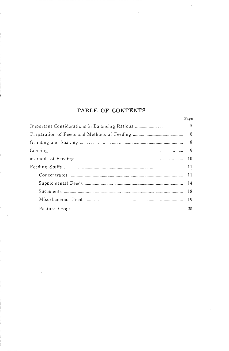# TABLE OF CONTENTS

| Page |  |
|------|--|
|      |  |
| - 8  |  |
| -8   |  |
|      |  |
|      |  |
|      |  |
|      |  |
|      |  |
|      |  |
|      |  |
| -20  |  |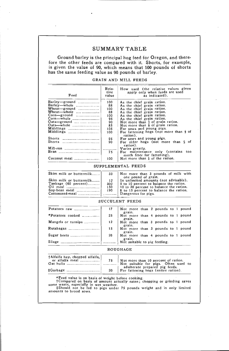# SUMMARY TABLE

fore the other feeds are compared with it. Shorts, for example, fore the other feeds are compared with it. Shorts, for example, is given the value of 90, which means that 100 pounds of shorts has the same feeding value as 90 pounds of barley. Ground barley is the principal hog feed for Oregon, and there-

| Rela-<br>tive<br>value | How used (the relative values given<br>apply only when feeds are used<br>as indicated). |
|------------------------|-----------------------------------------------------------------------------------------|
| 100                    | As the chief grain ration.                                                              |
| 88                     | As the chief grain ration.                                                              |
| 100                    | As the chief grain ration.                                                              |
| 88                     | As the chief grain ration.                                                              |
| 100                    | As the chief grain ration.                                                              |
| 95                     | As the chief grain ration.                                                              |
| 90                     | Not more than $\frac{1}{2}$ of grain ration.                                            |
| 85                     | Not more than $\frac{1}{3}$ of grain ration.                                            |
| 105                    | For sows and young pigs.                                                                |
| 100                    | For fattening hogs (not more than $\frac{1}{3}$ of                                      |
|                        | ration).                                                                                |
| 95                     | For sows and young pigs.                                                                |
| 90                     | For older hogs (not more than $\frac{1}{3}$ of                                          |
|                        | ration).                                                                                |
| .                      | Varies greatly.                                                                         |
| 75                     | For maintenance only (contains too                                                      |
|                        | much fiber for fattening).                                                              |
| 100                    | Not more than $\frac{1}{2}$ of the ration.                                              |
|                        |                                                                                         |

#### GRAIN AND MILL FEEDS

SUPPLEMENTAL FEEDS

| Skim milk or buttermilk | 33  | Not more than 3 pounds of milk with<br>one pound of grain. |  |
|-------------------------|-----|------------------------------------------------------------|--|
| Skim milk or buttermilk | 12  | In unlimited amounts (not advisable).                      |  |
| Tankage (60 percent)!   | 300 | 5 to 10 percent to balance the ration.                     |  |
|                         | 150 | 10 to 20 percent to balance the ration.                    |  |
|                         | 190 | 8 to 15 percent to balance the ration.                     |  |
|                         |     |                                                            |  |

#### SUCCULENT FEEDS

|                    | 17 | Not more than 2 pounds to 1 pound<br>grain. |
|--------------------|----|---------------------------------------------|
| *Potatoes cooked   | 25 | Not more than 4 pounds to 1 pound<br>grain. |
| Mangels or turnips | 12 | Not more than 3 pounds to 1 pound<br>grain. |
| Rutabagas          | 15 | Not more than 3 pounds to 1 pound<br>grain. |
|                    | 20 | Not more than 4 pounds to 1 pound<br>grain. |
| Silage             |    | Not suitable to pig feeding.                |

#### ROUGHAGE

| †Alfalfa hay, chopped alfalfa,<br>$\alpha$ at hulls $\ldots$ | 75 | Not more than 10 percent of ration.<br>Not suitable for pigs. Often used to |
|--------------------------------------------------------------|----|-----------------------------------------------------------------------------|
| $\pm$ Garbage                                                | 20 | adulterate prepared pig feeds.<br>For fattening hogs (entire ration).       |

\*Feed value is on basis of weight before cooking.<br>†Compared on basis of amount actually eaten; chopping or grinding saves<br>some waste, especially in wet weather.<br>‡Should not be fed to pigs under 75 pounds weight and in only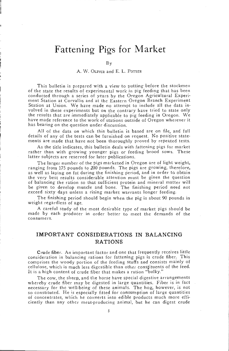# Fattening Pigs for Market

#### A. W. OLIVER and E. L. POTTER

This bulletin is prepared with a view to putting before the stockmen of the state the results of experimental work in pig feeding that has been conducted through a series of years by the Oregon Agricultural Experiment Station at Corvallis and at the Eastern Oregon Branch Experiment<br>Station at Union. We have made no attempt to include all the data in-<br>volved in these experiments but on the contrary have tried to state only the results that are immediately applicable to pig feeding in Oregon. We have made reference to the work of stations outside of Oregon wherever it has bearing on the question under discussion.

All of the data on which this bulletin is based are on file, and full details of any of the tests can be furnished on request. No positive state- ments are made that have not been thoroughly proved by repeated tests.

As the title indicates, this bulletin deals with fattening pigs for market rather than with growing younger pigs or feeding brood sows. These latter subjects are reserved for later publications.

The larger number of the pigs marketed in Oregon are of light weight, ranging from 175 pounds to 200 pounds. The pigs are growing, therefore, as well as laying on fat during the finishing period, and in order to obtain the very best results considerable attention must be given the question<br>of balancing the ration so that sufficient protein and mineral matter will be given to develop muscle and bone. The finishing period need not exceed sixty days unless a rising market warrants longer feeding.

The finishing period should begin when the pig is about 90 pounds in weight regardless of age.

A careful study of the most desirable type of market pigs should be made by each producer in order better to meet the demands of the consumers.

# IMPORTANT CONSIDERATIONS IN BALANCING RATIONS

Crude fiber. An important factor and one that frequently receives little consideration in balancing rations for fattening pigs is crude fiber. This comprises the woody portion of the feeding stuffs and consists mainly of c It is a high content of crude fiber that makes a ration "bulky."

The cow, the sheep, and the horse have special digestive arrangements<br>whereby crude fiber may be digested in large quantities. Fiber is in fact<br>necessary for the well-being of these animals. The hog, however, is not<br>so con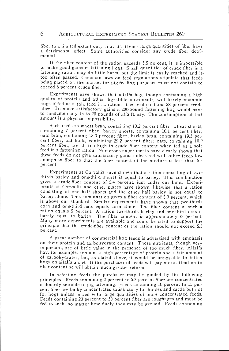fiber to a limited extent only, if at all. Hence large quantities of fiber have a detrimental effect. Some authorities consider any crude fiber detrimental.

If the fiber content of the ration exceeds 5.5 percent, it is impossible to make good gains in fattening hogs. Small quantities of crude fiber in a fattening ration may do little harm, but the limit is easily reached and is too often passed. Canadian laws on feed regulations stipulate that feeds being placed on the market for pig-feeding purposes must not contain to exceed 6 percent crude fiber.

Experiments have shown that alfalfa hay, though containing a high quality of protein and other digestible nutriments, will barely maintain hogs if fed as a sole feed in a ration. The feed contains 28 percent crude fiber. To make satisfactory gains a 200-pound fattening hog would have to consume daily 15 to 20 pounds of alfalfa hay. The consumption of this amount is a physical impossibility.

Such feeds as wheat bran, containing 10.2 percent fiber; wheat shorts, containing 7 percent fiber; barley shorts, containing 10.1 percent fiber; oats bran, containing 18.3 percent fiber; barley bran, containing 19.3 percent fiber; oat hulls, containing 29.2 percent fiber; oats, containing 10.9 percent fiber, are all too high in crude fiber content when fed as a sole feed in a fattening ration. Numerous experiments have clearly shown that these feeds do not give satisfactory gains unless fed with other feeds low enough in fiber so that the fiber content of the mixture is less than 5.5 percent.

Experiments at Corvallis have shown that a ration consisting of twothirds barley and one-third shorts is equal to barley. This combination ments at Corvallis and other places have shown, likewise, that a ration consisting of one half shorts and the other half barley is not equal to barley alone. This combination gives a fiber content of 5.9 percent, which corn and one-third oats equals corn alone. The fiber content in such a<br>ration equals 5 percent. A ration two-thirds barley and one-third oats is barely equal to barley. The fiber content is approximately 6 percent.<br>Many more experiments are available and could be cited to support the<br>principle that the crude-fiber content of the ration should not exceed 5.5 percent.

A great number of commercial hog feeds is advertised with emphasis on their protein and carbohydrate content. These nutrients, though very important, are of little value in the presence of too much fiber. Alfalfa of carbohydrates, but, as stated above, it would be impossible to fatten hogs on alfalfa alone. If the purchaser of feeds will pay more attention to fiber content he will obtain much greater returns.

In selecting feeds the purchaser may be guided by the following principles: Feeds containing 2 percent to 5.5 percent fiber are concentrates ordinarily suitable to pig fattening. Feeds containing 10 percent to 15 percent to 15 per-<br>cent fiber are bulky concentrates satisfactory for horses and cattle but not for hogs unless mixed with large quantities of more concentrated feeds. Feeds containing 20 percent to 30 percent fiber are roughages and must be fed as such, no matter how finely they may be ground. Feeds containing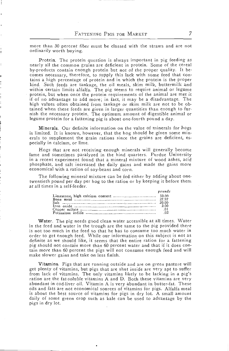more than 30 percent fiber must be classed with the straws and are not ordinarily worth buying.

Protein. The protein question is always important in pig feeding as nearly all the common grains are deficient in protein. Some of the cereal by-products contain enough pi-otein but not of the proper quality. It becomes necessary, therefore, to supply this lack with some feed that contains a high percentage of protein and in which the protein is the proper<br>kind. Such feeds are tankage, the oil meals, skim milk, buttermilk and<br>within certain limits alfalfa. The pig seems to require animal or legume<br>prot tained when these feeds are given in larger quantities than enough to fur- nish the necessary protein. The optimum amount of digestible animal or legume protein for a fattening pig is about one-fourth pound a day.

Minerals. Our definite information on the value of minerals for hogs is limited. It is known, however, that the hog should be given some min- erals to supplement the grain rations since the grains are deficient, especially in calcium, or lime.

Hogs that are not receiving enough minerals will generally become lame and sometimes paralyzed in the hind quarters. Purdue University in a recent experiment found that a mineral mixture of wood ashes, acid phosphate, and salt increased the daily gains and made the gains more economical with a ration of soy-beans and corn.

The following mineral mixture can be fed either by adding about onetwentieth pound per day per hog to the ration or by keeping it before them at all times in a self-feeder.

|                 | pounds |
|-----------------|--------|
|                 |        |
|                 |        |
| Salt — 5. 20.00 |        |
|                 | 2.00   |
|                 | .01    |
|                 | .02    |

Water. The pig needs good clean water accessible at all times. Water in the feed and water in the trough are the same to the pig provided there is not too much in the feed so that he has to consume too much water in order to get enough feed. While our information on this subject is not as definite as we should like, it seems that the entire ration for a fattening pig should not contain more than 60 percent water and that if it does contain more than 60 percent the pigs will not consume enough feed and will make slower gains and take on less finish.

Vitamins. Pigs that are running outside and are on green pasture will get plenty of vitamins, but pigs that are shut inside are very apt to suffer from lack of vitamins. The only vitamins likely to be lacking in a pig's ration are the fat-soluble vitamins A and D. Both these vitamins are very abundant in cod-liver oil. Vitamin A is very abundant in butter-fat. These<br>oils and fats are not economical sources of vitamins for pigs. Alfalfa meal<br>is about the best source of vitamins for pigs in dry lot. A small amoun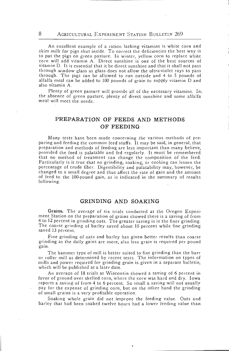An excellent example of a ration lacking vitamins is white corn and skim milk for pigs shut inside. To correct the deficiencies the best way is to put the pigs on green pasture. In winter, yellow corn to replace white corn will add vitamin A. Direct sunshine is one of the best sources of vitamin D. It is essential that it be direct sunshine and that it shall not pass through window glass as glass does not allow the ultra-violet rays to pass alfalfa meal can be added to 100 pounds of grain to supply vitamin D and also vitamin A.

Plenty of green pasture will provide all of the necessary vitamins. In, the absence of green pasture, plenty of direct sunshine and some alfalfa meal will meet the needs.

# PREPARATION OF FEEDS AND METHODS OF FEEDING

Many tests have been made concerning the various methods of pre-<br>paring and feeding the common feed stuffs. It may be said, in general, that<br>preparation and methods of feeding are less important than many believe,<br>provided Particularly is it true that no grinding, soaking, or cooking can lessen the percentage of crude fiber. Digestibility and palatability may, however, be changed to a small degree and thus affect the rate of gain and the amo following.

# GRINDING AND SOAKING

Grains. The average of six trials conducted at the Oregon Experi-<br>ment Station on the preparation of grains showed there is a saving of from<br>4 to 12 percent in grinding oats. The greater saving is in the finer grinding. The coarse grinding of barley saved about 10 percent while fine grinding saved 13 percent.

Fine grinding of oats and barley has given better results than coarse grinding as the daily gains are more, also less grain is required per pound gain.

The hammer type of mill is better suited to fine grinding than the burr or roller mill as determined by recent tests. The information on types of mills and power required for grinding grain is given in a separate bulletin, which will be published at a later date.

An average of 18 trials at Wisconsin showed a saving of 6 percent in favor of ground over shelled corn, where the corn was hard and dry. Iowa reports a saving of from 4 to 6 percent. So small a saving will not usually pay for the expense of grinding corn, but on the other hand the grinding of small grains is a very profitable operation.

Soaking whole grain did not improve the feeding value. Oats and barley that had been soaked twelve hours had a lower feeding value than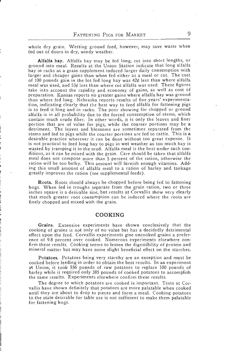whole dry grain. Wetting ground feed, however, may save waste when fed out of doors in dry, windy weather.

Alfalfa hay. Alfalfa hay may be fed long, cut into short lengths, or ground into meal. Results at the Union Station indicate that long alfalfa hay in racks as a grain supplement induced larger daily consumption with larger and cheaper gains than when fed either as a meal or cut. The cost of 100 pounds gain in the lot fed long hay was  $42¢$  less than where alfalfa meal was used, and  $53¢$  less than where cut alfalfa was used. These figures take into account the rapidity and economy of gains, as well as cost of preparation. Kansas reports no greater gains where alfalfa hay was ground than where fed long. Nebraska reports results of five years' experimentation, indicating clearly that the best way to feed alfalfa for fattening pigs is to feed it long and in racks. The poor showing for chopped or ground alfalfa is in all probability due to the forced consumption of stems, which<br>contain much crude fiber. In other words, it is only the leaves and finer portion that are of value for pigs, while the coarser portions may be a detriment. The leaves and blossoms are sometimes separated from the stems and fed to pigs while the coarser portions are fed to cattle. This is a desirable practice wherever it can be done without too great expense. It is not practical to feed long hay to pigs in wet weather as too much hay is wasted by tramping it in the mud. Alfalfa meal is the best under such con-<br>ditions, as it can be mixed with the grain. Care should be taken that alfalfa meal does not compose more than 5 percent of the ration, otherwise the ration will be too bulky. This amount will furnish enough vitamins. Adding this small amount of alfalfa meal to a ration of barley and tankage greatly improves the ration (see supplemental feeds).

Roots. Roots should always be chopped before being fed to fattening hogs. When fed in troughs separate from the grain ration, two or three inches square is a desirable size, but results at Corvallis show very clearly that much greater root consumption can be induced where the roots are finely chopped and mixed with the grain.

#### COOKING

Grains. Extensive experiments have shown conclusively that the cooking of grains is not only of no value but has a decidedly detrimental effect upon the feed. Corvallis experiments give uncooked grains a prefer- ence of 9.8 percent over cooked. Numerous experiments elsewhere confirm these results. Cooking seems to lessen the digestibility of protein and mineral matter but may have some slight beneficial effect on the starches.

Potatoes. Potatoes being very starchy are an exception and must be cooked before feeding in order to obtain the best results. In an experiment at Union, it took 556 pounds of raw potatoes to replace 100 pounds of barley while it required only 385 pounds of cooked potatoes to accomplish the same results. Experiments elsewhere confirm these results.

The degree to which potatoes are cooked is important. Tests at Cor- 'allis have shown definitely that potatoes are more palatable when cooked until they are about to drop to pieces and form a meal. Cooking potatoes to the state desirable for table use is not sufficient to make them palatable for fattening hogs.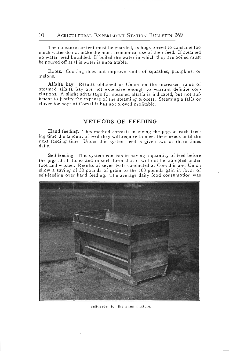#### 10 AGRICULTURAL EXPERIMENT STATION BULLETIN 269

The moisture content must be guarded, as hogs forced to consume too much water do not make the most economical use of their feed. If steamed no water need be added. If boiled the water in which they are boiled must be poured off as this water is unpalatable.

Roots. Cooking does not improve roots of squashes, pumpkins, or melons.

Alfalfa hay. Results obtained at Union on the increased value of steamed alfalfa hay are not extensive enough to warrant definite conclusions. A slight advantage for steamed alfalfa is indicated, but not sufficient to justify the expense of the steaming process. Steaming alfalfa or clover for hogs at Corvallis has not proved profitable.

# METHODS OF FEEDING

Hand feeding. This method consists in giving the pigs at each feeding time the amount of feed they will require to meet their needs until the next feeding time. Under this system feed is given two or three times daily.

Self-feeding. This system consists in having a quantity of feed before the pigs at all times and in such form that it will not be trampled under foot and wasted. Results of seven tests conducted at Corvallis and Union show a saving of 38 pounds of grain to the 100 pounds gain in favor of self-feeding over hand feeding. The average daily food consumption was



Self-feeder for the grain mixture.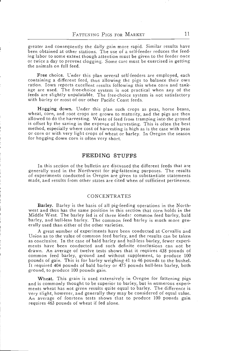greater and consequently the daily gain more rapid. Similar results have been obtained at other stations. The use of a self-feeder reduces the feeding labor to some extent though attention must be given to the feeder once or twice a day to prevent clogging. Some care must be exercised in getting the animals on full feed.

Free choice. Under this plan several self-feeders are employed, each containing a different feed, thus allowing the pigs to balance their own<br>ration. Iowa reports excellent results following this when corn and tankage are used. The free-choice system is not practical when any of the feeds are slightly unpalatable. The free-choice system is not satisfactory with barley or most of our other Pacific Coast feeds.

Hogging down. Under this plan such crops as peas, horse beans, wheat, corn, and root crops are grown to maturity, and the pigs are then allowed to do the harvesting. Waste of feed from tramping into the ground is offset by the saving in the expense of harvesting. This is often the best method, especially where cost of harvesting is high as is the case with peas or corn or with very light crops of wheat or barley. In Oregon the season for hogging down corn is often very short.

#### FEEDING STUFFS

In this section of the bulletin are discussed the different feeds that are generally used in the Northwest for pig-fattening purposes. The results of experiments conducted in Oregon are given to substantiate statements made, and results from other states are cited when of sufficient pertinence.

#### CONCENTRATES

Barley. Barley is the basis of all pig-feeding operations in the Northwest and thus has the same position in this section that corn holds in the Middle West. The barley fed is of three kinds: common feed barley, bald barle erally used than either of the other varieties.

A great number of experiments have been conducted at Corvallis and Union as to the value of common feed barley, and the results can be taken as conclusive. In the case of bald barley and hull-less barley, fewer experiments have been conducted and such definite conclusions can not be drawn. An average of twelve tests shows that it requires 438 pounds of common feed barley, ground and without supplement, to produce 100 pounds of gain. This is for barley weighing 41 to 46 pounds to the bushel. It required 404 pounds of bald barley or 475 pounds hull-less barley, both ground, to produce 100 pounds gain.

Wheat. This grain is used extensively in Oregon for fattening pigs and is commonly thought to be superior to barley, but in numerous experi-<br>ments wheat has not given results quite equal to barley. The difference is<br>very slight, however, and generally they may be considered of equal value An average of fourteen tests shows that to produce 100 pounds gain requires 463 pounds of wheat if fed alone.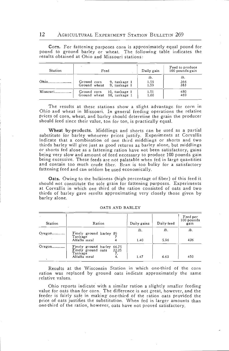12 AGRICULTURAL EXPERIMENT STATION BULLETIN 269

Corn. For fattening purposes corn is approximately equal pound for pound to ground barley or wheat. The following table indicates the results obtained at Ohio and Missouri stations:

| Station  | Feed                                                       | Daily gain          | Feed to produce<br>100 pounds gain |
|----------|------------------------------------------------------------|---------------------|------------------------------------|
| Ohio.    | Ground corn<br>9, tankage 1<br>Ground wheat 9, tankage 1   | lb.<br>1.59<br>1.59 | Ib.<br>366<br>383                  |
| Missouri | Ground corn<br>10. tankage 1<br>Ground wheat 10, tankage 1 | 1.51<br>1.60        | 480<br>469                         |

The results at these stations show a slight advantage for corn in Ohio and wheat in Missouri. In general feeding operations the relative prices of corn, wheat, and barley should determine the grain the producer should feed

Wheat by-products. Middlings and shorts can be used as a partial substitute for barley whenever prices justify. Experiments at Corvallis indicate that a combination of one third middlings or shorts and two thirds barley will give just as good returns as barley alone, but middlings<br>or shorts fed alone as a fattening ration have not been satisfactory, gains being very slow and amount of feed necessary to produce 100 pounds gain being excessive. These feeds are not palatable when fed in large quantities and contain too much crude fiber. Bran is too bulky for a satisfactory fattening feed and can seldom be used economically.

Oats. Owing to the bulkiness (high percentage of fiber) of this feed it should not constitute the sole grain for fattening purposes. Experiments at Corvallis in which one third of the ration consisted of oats and two thirds of barley gave results approximating very closely those given by barley alone.

| Station   | Ration                                                                      |             | Daily gains | Daily feed | Feed per<br>100 pounds<br>gam |
|-----------|-----------------------------------------------------------------------------|-------------|-------------|------------|-------------------------------|
| $O$ regon | Finely ground barley 89                                                     |             | Ib.         | Ib.        | Ib.                           |
|           | Tankage<br>Alfalfa meal                                                     |             | 1.40        | $-5.96$    | 426                           |
|           | Finely ground barley 66.75<br>Finely ground oats<br>Tankage<br>Alfalfa meal | 22.25<br>4. | 1.47        | 6.63       | 450                           |

OATS AND BARLEY

Results at the Wisconsin Station in which one-third of the corn ration was replaced by ground oats indicate approximately the same relative values.

Ohio reports indicate with a similar ration a slightly smaller feeding value for oats than for corn. The difference is not great, however, and the price of oats justifies the substitution. When fed in larger amounts than one-third of the ration, however, oats have not proved satisfactory.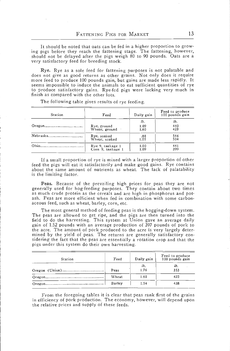It should be noted that oats can be fed in a higher proportion to grow-<br>ing pigs before they reach the fattening stage. The fattening, however, should not be delayed after the pigs weigh 80 to 90 pounds. Oats are a very satisfactory feed for breeding stock.

Rye. Rye as a sole feed for fattening purposes is not palatable and does not give as good returns as other grains. Not only does it require more feed to produce 100 pounds gain, but gains are made less rapidly. It seems impossible to induce the animals to eat sufficient quantities of rye to produce satisfactory gains. Rye-fed pigs were lacking very much in finish as compared with the other lots.

| Station                    | Feed                         | Daily gain          | Feed to produce<br>100 pounds gain |
|----------------------------|------------------------------|---------------------|------------------------------------|
| Oregon.                    | Rye, ground<br>Wheat, ground | Ib.<br>1.09<br>1.60 | lb.<br>440<br>423                  |
| Nebraska                   | Rye, soaked                  | .88                 | 546                                |
|                            | Wheat, soaked                | 1.05                | 504                                |
| $Ohio$ <sub>10</sub> $$ $$ | Rye 9, tankage 1             | 1.00                | 441                                |
|                            | Corn 9, tankage 1            | 1.09                | 399                                |

The following table gives results of rye feeding.

If a small proportion of rye is mixed with a larger proportion of other feed the pigs will eat it satisfactorily and make good gains. Rye contains about the same amount of nutrients as wheat. The lack of palatability is the limiting factor.

Peas. Because of the prevailing high prices for peas they are not generally used for hog-feeding purposes. They contain about two times as much crude protein as the cereals and are high in phosphorus and potash. Peas are m aceous feed, such as wheat, barley, corn, etc.

The most general method of feeding peas is the hogging-down system. The peas are allowed to get ripe, and the pigs are then turned into the field to do the harvesting. This system at Union gave an average daily gain of 1.52 pounds with an average production of 397 pounds of pork to the acre. The amount of pork produced to the acre is very largely determined by the yield of peas. The returns are generally satisfactory considering the fact that the peas are essentially a rotation crop and that the pigs

| Station | Feed   | Daily gain | Feed to produce<br>100 pounds gain |
|---------|--------|------------|------------------------------------|
|         |        | lb.        | lb.                                |
|         | Peas   | 1.76       | 353                                |
|         | Wheat  | 1.60       | 423                                |
|         | Barley | 1.54       | 438                                |
|         |        |            |                                    |

From the foregoing tables it is clear that peas rank first of the grains in efficiency of pork production. The economy, however, will depend upon the relative prices and supply of these feeds.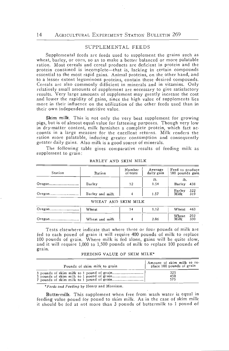### SUPPLEMENTAL FEEDS

Supplemental feeds are feeds used to supplement the grains such as wheat, barley, or corn, so as to make a better balanced or more palatable protein contained is incomplete—that is, lacking in certain compounds essential to the most rapid gains. Animal proteins, on the other hand, and to a lesser extent leguminous proteins, contain these desired compounds. Cereals are also commonly difficient in minerals and in vitamins. Only relatively small amounts of supplement are necessary to give satisfactory results. Very large amounts of supplement may greatly increase the cost and lower the rapidity of gains, since the high value of supplements lies more in their influence on the utilization of the other feeds used than in their own independent nutritive value.

Skim milk. This is not only the very best supplement for growing pigs, but is of almost equal value for fattening purposes. Though very low<br>in dry-matter content, milk furnishes a complete protein, which fact accounts in a large measure for the excellent returns. Milk renders the ration more palatable, inducing greater consumption and consequently greater daily gains. Also milk is a good source of minerals.

The following table gives comparative results of feeding milk as supplement to grain:

| Station | Ration          | Number<br>of tests | Average<br>daily gain | Feed to produce<br>100 pounds gain  |
|---------|-----------------|--------------------|-----------------------|-------------------------------------|
|         | Barley          | 12                 | Ib.<br>1.54           | lb.<br>Barley 438                   |
|         | Barley and milk |                    | 1.57                  | 322<br><b>Barley</b><br>Milk<br>319 |

| BARLEY AND SKIM MILK |  |  |
|----------------------|--|--|
|----------------------|--|--|

| WHEAT AND SKIM MILK |
|---------------------|
|---------------------|

| Wheat          | 1.12 | Wheat 463     |            |
|----------------|------|---------------|------------|
| Wheat and milk | 2.06 | Wheat<br>Milk | 292<br>330 |
|                |      |               |            |

Tests elsewhere indicate that where three or four pounds of milk are fed to each pound of grain it will require 400 pounds of milk to replace 100 pounds of grain. Where milk is fed alone, gains will be quite slow, and it will require 1,000 to 1,500 pounds of milk to replace 100 pounds of gr

FEEDING VALUE OF SKIM MILK

| Pounds of skim milk to grain | Amount of skim milk to re-<br>place 100 pounds of grain |
|------------------------------|---------------------------------------------------------|
|                              | 325                                                     |
|                              | 450                                                     |
|                              | 575                                                     |

Feeds and Feeding by Henry and Morrison.

Buttermilk. This supplement when free from wash water is equal in feeding value pound for pound to skim milk. As in the case of skim milk it should be fed at not more than 3 pounds of buttermilk to 1 pound of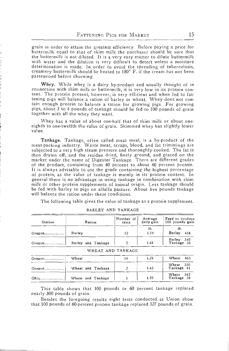grain in order to attain the greatest efficiency. Before paying a price for<br>buttermilk equal to that of skim milk the purchaser should be sure that the buttermilk is not diluted. It is a very easy matter to dilute buttermilk with water and the dilution is very difficult to detect unless a moisture determination is made. In order to avoid the spreading of tuberculosis, creamery buttermilk should be heated to 180 F. if the cream has not been pasteurized before churning.

Whey. While whey is a dairy by-product and usually thought of in connection with skim milk or buttermilk, it is very low in its protein content. The protein present, however, is very efficient and when fed to fattening pigs will balance a ration of barley or wheat. Whey does not contain enough protein to balance a ration for growing pigs. For growing pigs, about 3 to 4 pounds of tankage should be fed to 100 pounds of grain together with all the whey they want.

Whey has a value of about one-half that of skim milk or about oneeighth to one-twelfth the value of grain. Skimmed whey has slightly lower value.

Tankage. Tankage, often called meat meal, is a by-product of the meat-packing industry. Waste meat, scraps, blood, and fat trimmings are subjected to a very high steam pressure and thoroughly cooked. The fat is then drawn off, and the residue dried, finely ground, and placed on the market under the name of Digester Tankage. There are different grades of the product, containing from 40 percent to about 60 percent protein. It is al general there is no advantage in using tankage in combination with skim milk or other protein supplements of animal origin. Less tankage should be fed with barley to pigs on alfalfa pasture. About five pounds tankage will balance the ration under these conditions.

The following table gives the value of tankage as a protein supplement.

| Station   | Ration             | Number of<br>tests | Average<br>daily gain | Feed to produce<br>100 pounds gain |
|-----------|--------------------|--------------------|-----------------------|------------------------------------|
| $O$ regon | Barley             | 12                 | Ib.<br>1.54           | lb.<br>Barley<br>438               |
|           | Barley and Tankage | 5                  | 1.61                  | 340<br>Barley<br>Tankage 36        |
|           | WHEAT AND TANKAGE  |                    |                       |                                    |
| $O$ regon | Wheat              | 14                 | 1.21                  | Wheat<br>463                       |
| $O$ regon | Wheat and Tankage  | 2                  | 1.42                  | 330<br>Wheat<br>Tankage 41         |

|  | BARLEY AND TANKAGE |
|--|--------------------|

This table shows that 100 pounds or 60 percent tankage replaced nearly 300 pounds of grain.

Ohio Wheat and Tankage 1.59 Wheat Tankage 1.59 Mheat

Besides the foregoing results eight tests conducted at Union show that 100 pounds of 60-percent protein tankage replaced 327 pounds of grain.

Wheat 345<br>Tankage 38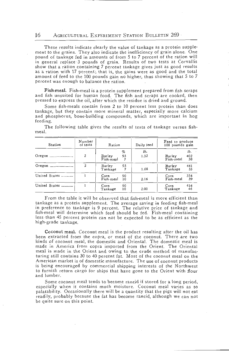These results indicate clearly the value of tankage as a protein supplement to the grains. They also indicate the inefficiency of grain alone. One pound of tankage fed in amounts of from 5 to 7 percent of the ration will i as a ration with 17 percent; that is, the gains were as good and the total amount of feed to the 100 pounds gain no higher, thus showing that 5 to 7 percent was enough to balance the ration.

Fish-meaL Fish-meal is a protein supplement prepared from fish scraps and fish unsuited for human food. The fish and scraps are cooked, then pressed to express the oil, after which the residue is dried and ground.

Some fish-meals contain from 2 to 10 percent less protein than does tankage, but they contain more mineral matter, especially more calcium and phosphorus, bone.building compounds, which are important in hog feeding.

| Station       | Number<br>of tests | Ration               |                 | Daily feed  | Feed to produce<br>100 pounds gain |                  |
|---------------|--------------------|----------------------|-----------------|-------------|------------------------------------|------------------|
| Oregon        | $\overline{2}$     | Barley<br>Fish-meal  | $\%$<br>93<br>7 | lb.<br>1.32 | Barley<br>Fish-meal                | Ib.<br>402<br>30 |
| Oregon        | $\overline{2}$     | Barley<br>$T$ ankage | 93              | 1.08        | Barley<br>Tankage                  | 441<br>33        |
| United States |                    | Corn<br>Fish-meal    | 90<br>10        | 2.16        | Corn<br>Fish-meal                  | 354<br>39        |
| United States |                    | Corn<br>Tankage      | 90<br>10        | 2.00        | Corn<br>Tankage                    | 416<br>46        |

The following table gives the results of tests of tankage versus fish- meal.

From the table it will be observed that fish-meal is more efficient than tankage as a protein supplement. The average saving in feeding fish-meal tankage as a protein supplement. The average saving in feeding fish-meal<br>in preference to tankage is 9 percent. The relative price of tankage and fish-meal will determine which feed should be fed. Fish-meal containing less than 45 percent protein can not be expected to be as efficient as the high-grade tankage.

Coconut meal. Coconut meal is the product resulting after the oil has been extracted from the copra, or meat of the coconut. There are two kinds of coconut meal, the domestic and Oriental. The domestic meal is made in America from copra imported from the Orient. The Oriental meal is made in the Orient and owing to the crude method of manufacturing still contains 30 to 40 percent fat. Most of the coconut meal on the American market is of domestic manufacture. The use of coconut products is being encouraged by commercial shipping interests of the Northwest to furnish return cargo for ships that have gone to the Orient with flour and lumber.

Some coconut meal tends to become rancid if stored for a long period, especially when it contains much moisture. Coconut meal varies as to palatability. Occasionally there will be a quantity that the pigs will not eat readily, probably because the fat has become rancid, although we can not be quite sure on this point.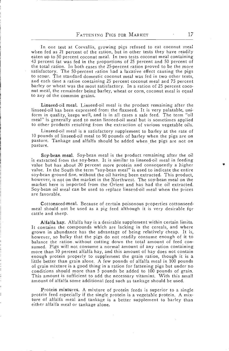In one test at Corvallis, growing pigs refused to eat coconut meal when fed as 21 percent of the ration, but in other tests they have readily eaten up to 50 percent coconut meal. In two tests coconut meal containing 43 percent fat was fed in the proportions of 25 percent and 50 percent of the total ration. In both cases the 25-percent ration proved to be the more satisfactory. The 50-percent ration had a laxative effect causing the pigs to scour. The standard domestic coconut meal was fed in two other tests, and each time a ration containing 25 percent coconut meal and 75 percent barley or wheat was the most satisfactory. In a ration of 25 percent coco-<br>nut meal, the remainder being barley, wheat or corn, coconut meal is equal to any of the common grains.

Linseed-oil meal. Linseed-oil meal is the product remaining after the linseed-oil has been expressed froni the flaxseed. It is very palatable, uniform in quality, keeps well, and is in all cases a safe feed. The term 'oil meal" is generally used to mean linseed-oil meal but is sometimes applied to other products resulting from the extraction of various vegetable oils.

Linseed-oil meal is a satisfactory supplement to barley at the rate of 10 pounds of linseed-oil meal to 90 pounds of barley when the pigs are on pasture. Tankage and alfalfa should be added when the pigs are not on pasture.

Soy-bean meal. Soy-bean meal is the product remaining after the oil value but has about 20 percent more protein and consequently a higher value. In the South the term "soy-bean meal" is used to indicate the entire soy-bean ground fine, without the oil having been extracted. This product. however, is not on the market in the Northwest. The soy-bean meal on the market here is imported from the Orient and has had the oil extracted.<br>Soy-bean oil meal can be used to replace linseed-oil meal when the prices are

Cottonseed.meal. Because of certain poisonous properties cottonseed. meal should not be used as a pig feed although it is very desirable fçr cattle and sheep.

Alfalfa hay. Alfalfa hay is a desirable supplement within certain limits. It contains the compounds which are lacking in the cereals, and where grown in abundance has the advantage of being relatively cheap. It is, however, so bulky that the pigs do not readily consume enough of it to balance the ration without cutting down the total amount of feed consumed. Pigs will not consume a normal amount of any ration containing more than 10 enough protein properly to supplement the grain ration, though it is a little better than grain alone. A few pounds of alfalfa meal in 100 pounds of grain mixture is a good thing in a ration for fattening pigs but under no conditions should more than 5 pounds be added to 100 pounds of grain. This amount is sufficient to add the necessary vitamins. With this small amount of alfalfa some additional feed such as tankage should be used.

Protein mixtures. A mixture of protein feeds is superior to a single protein feed especially if the single protein is a vegetable protein. A mixture of alfalfa meal and tankage is a better supplement to barley than either alfalfa meal or tankage alone.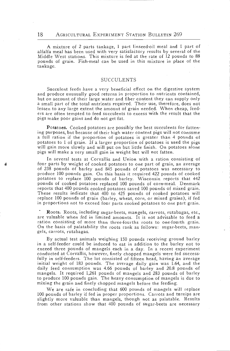A mixture of 2 parts tankage, 1 part linseed-oil meal and 1 part of alfalfa meal has been used with very satisfactory results by several of the Middle West stations. This mixture is fed at the rate of 12 pounds to 88 pound tankage.

#### SUCCULENTS

Succulent feeds have a very beneficial effect on the digestive system<br>and produce unusually good returns in proportion to nutrients contained, but on account of their large water and fiber content they can supply only a small part of the total nutrients required. Their use, therefore, does not lessen to any large extent the amount of grain needed. When cheap, feed- ers are often tempted to feed succulents to excess with the result that the pigs make poor gains and do not get fat.

Potatoes. Cooked potatoes are possibly the best succulents for fattening purposes, but because of their high water content pigs will not consume<br>a full ration if the proportion of potatoes is greater than 4 pounds of<br>potatoes to 1 of grain. If a larger proportion of potatoes is used the pig

In several tests at Corvallis and Union with a ration consisting of four parts by weight of cooked potatoes to one part of grain, an average of 238 pounds of barley and 845 pounds of potatoes was necessary to produce 100 pounds gain. On this basis it required 422 pounds of cooked potatoes to replace 100 pounds of barley. Wisconsin reports that 442 pounds of cooked potatoes replaced 100 pounds of corn-meal. Denmark reports that 400 pounds cooked potatoes saved 100 pounds of mixed grain. These results indicate that 400 to 425 pounds of cooked potatoes will replace 100 pounds of grain (barley, wheat, corn, or mixed grains), if fed in proportions not to exceed four parts cooked potatoes to one part grain.

Roots. Roots, including sugar-beets, mangels, carrots, rutabagas, etc., are valuable when fed in limited amounts. It is not advisable to feed a ration consisting of more than three-fourths roots to one-fourth grain. On the basis of palatability the roots rank as follows: sugar-beets, man- gels, carrots, rutabagas.

By actual test animals weighing 150 pounds receiving ground barley in a self-feeder could be induced to eat in addition to the barley not to exceed three pounds of mangels each in a day. In a recent experiment conducted at Corvallis, however, finely chopped mangels were fed success- fully in self-feeders. The lot consisted of fifteen head, having an average initial weight of 183 pounds. The average daily gain was 1.64, and the daily feed consumption was 4.66 pounds of barley and 20.8 pounds of mangels. It required 1,261 pounds of mangels and 283 pounds of barley to produce 100 pounds gain. The heavy consumption of mangels is due to mixing the grain and finely chopped mangels before the feeding.

We are safe in concluding that 600 pounds of mangels will replace 100 pounds of barley if fed in proper proportions. Carrots and turnips are slightly more valuable than mangels, though not as palatable. Results from other stations show that 400 pounds of sugar-beets are necessary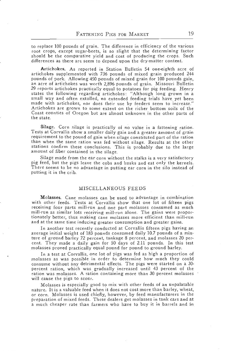to replace 100 pounds of grain. The difference in efficiency of the various root crops, except sugar-beets, is so slight that the determining factor should be the comparative yield and Cost of producing the crops. Such differences as there are seem to depend upon the dry-matter content.

Artichokes. As reported in Station Bulletin 54 one-eighth acre of artichokes supplemented with 736 pounds of mixed grain produced 244 pounds of pork. Allowing 450 pounds of mixed grain for 100 pounds gain, 29 reports artichokes practically equal to potatoes for pig feeding. Henry states the following regarding artichokes: "Although long grown in a<br>small way and often extolled, no extended feeding trials have yet been made with artichokes, nor does their use by feeders seem to increase."<br>Artichokes are grown to some extent on the richer bottom soils of the<br>Coast counties of Oregon but are almost unknown in the other parts of the state.

Silage. Corn silage is practically of no value in a fattening ration. Tests at Corvallis show a smaller daily gain and a greater amount of grain requirement to the pound of gain when silage constituted part of the ration stations confirm these conclusions. This is probably due to the large amount of fiber contained in the silage.

Silage made from the ear corn without the stalks is a very satisfactory<br>pig feed, but the pigs leave the cobs and husks and eat only the kernels.<br>There seems to be no advantage in putting ear corn in the silo instead of<br>pu

#### MISCELLANEOUS FEEDS

Molasses. Cane molasses can be used to advantage in combination with other feeds. Tests at Corvallis show that one lot of fifteen pigs receiving four parts mill-run and one part molasses consumed as much mill-run as similar lots receiving mill-run alone. The gains were proportionately better, thus making cane molasses more efficient than mill-run and at the same time inducing greater consumption and greater gains.

In another test recently conducted at Corvallis fifteen pigs having an average initial weight of 183 pounds consumed daily 10.7 pounds of a mix-<br>ture of ground barley 72 percent, tankage 8 percent, and molasses 20 percent. They made a daily gain for 50 days of 2.11 pounds. In this test molasses proved practically equal pound for pound to ground barley.

In a test at Corvallis, one lot of pigs was fed as high a proportion of molasses as was possible in order to determine how much they could consume without any detrimental effects. The pigs were started on a 30-<br>percent ration, which was gradually increased until 43 percent of the ration was molasses. A ration containing more than 30 percent molasses will cause the pigs to scour.

Molasses is especially good to mix with other feeds of an unpalatable or corn. Molasses is used chiefly, however, by feed manufacturers in the preparation of mixed feeds. These dealers get molasses in tank cars and at a much cheaper rate than farmers who have to buy it in barrels and in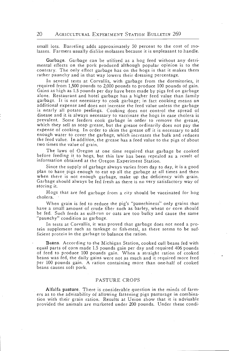small lots. Barreling adds approximately 50 percent to the cost of molasses. Farmers usually dislike molasses because it is unpleasant to handle.

Garbage. Garbage can be utilized as a hog feed without any detri- mental effects on the pork produced although popular opinion is to the contrary. The only effect garbage has on the hogs is that it makes them rather paunchy and in that way lowers their dressing percentage.

In several tests at Corvallis, with garbage from the dormitories, it required from 1,500 pounds to 2,000 pounds to produce 100 pounds of gain. alone. Restaurant and hotel garbage has a higher feed value than family garbage. It is not necessary to cook garbage; in fact cooking means an additional expense and does not increase the feed value unless the garbage<br>is nearly all potato peelings. Cooking does not control the spread of disease and it is always necessary to vaccinate the hogs in case cholera is<br>prevalent. Some feeders cook garbage in order to remove the grease,<br>which they sell as soap grease, but the grease ordinarily does not pay the expense of cooking. In order to skim the grease off it is necessary to add enough water to cover the garbage, which increases the bulk and reduces the feed value. In addition, the grease has a feed value to the pigs of about two times the value of grain.

The laws of Oregon at one time required that garbage be cooked before feeding it to hogs, but this law has been repealed as a result of information obtained at the Oregon Experiment Station.

Since the supply of garbage always varies from day to day, it is a good<br>plan to have pigs enough to eat up all the garbage at all times and then<br>when there is not enough garbage, make up the deficiency with grain.<br>Garbage

Hogs that are fed garbage from a city should be vaccinated for hog cholera.

When grain is fed to reduce the pig's "paunchiness" only grains that have a small amount of crude fiber such as barley, wheat or corn should be fed. Such feeds as mill-run or oats are too bulky and cause the same 'paunchy" condition as garbage.

In tests at Corvallis, it was proved that garbage does not need a protein supplement such as tankage or fish-meal, as there seems to be sufficient protein in the garbage to balance the ration.

Beans. According to the Michigan Station, cooked cull beans fed with equal parts of corn made 1.5 pounds gain per day and required 406 pounds of feed to produce 100 pounds gain. When a straight ration of cooked beans was fed, the daily gains were not as much and it required more feed<br>per 100 pounds gain. A ration containing more than one-half of cooked beans causes soft pork.

#### PASTURE CROPS

Alfalfa pasture. There is considerable question in the minds of farm- ers as to the advisability of allowing fattening pigs pasturage in combination with their grain ration. Results at Union show that it is advisable provided the animals are marketed under 200 pounds. Under these condi-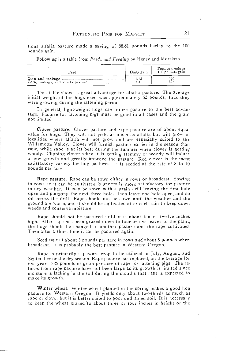tions alfalfa pasture made a saving of 88.61 pounds barley to the 100 pounds gain.

Following is a table from Feeds and Feeding by Henry and Morrison.

| Feed | Daily gain | Feed to produce<br>100 pounds gain |
|------|------------|------------------------------------|
|      | 1.13       | 450                                |
|      | 1.31       | 394                                |

This table shows a great advantage for alfalfa pasture. The average initial weight of the hogs used was approximately 52 pounds; thus they were growing during the fattening period.

In general, light-weight hogs can utilize pasture to the best advantage. Pasture for fattening pigs must be good in all cases and the grain not limited.

Clover pasture. Clover pasture and rape pasture are of about equal value for hogs. They will not yield as much as alfalfa but will grow in localities where alfalfa will not grow and are especially suited to the Willamette Valley. Clover will furnish pasture earlier in the season than rape, while rape is at its best during the summer when clover is getting<br>woody. Clipping clover when it is getting stemmy or woody will induce<br>a new growth and greatly improve the pasture. Red clover is the most<br>satisfacto pounds per acre.

Rape pasture. Rape can be sown either in rows or broadcast. Sowing in rows so it can be cultivated is generally more satisfactory for pasture in dry weather. It may be sown with a grain drill leaving the first hole<br>open and plugging the next three holes, then leave one hole open, and so<br>on across the drill. Rape should not be sown until the weather and the<br>groun weeds and conserve moisture.

Rape should not be pastured until it is about ten or twelve inches high. After rape has been grazed down to four or five leaves to the plant, the hogs should be changed to another pasture and the rape cultivated. Then after a short time it can be pastured again.

Seed rape at about 3 pounds per acre in rows and about 5 pounds when broadcast. It is probably the best pasture in Western Oregon.

Rape is primarily a pasture crop to be utilized in July, August, and September or the dry season. Rape pasture has replaced, on the average for five years, 725 pounds of grain per acre of rape for fattening pigs. The returns from rape pasture have not been large as its growth is limited since moisture is lacking in the soil during the months that rape is expected to make its growth.

Winter wheat. Winter wheat planted in the spring makes a good hog pasture for Western Oregon. It yields only about two-thirds as much as rape or clover but it is better suited to poor undrained soil. It is necessary to keep the wheat grazed to about three or four inches in height or the